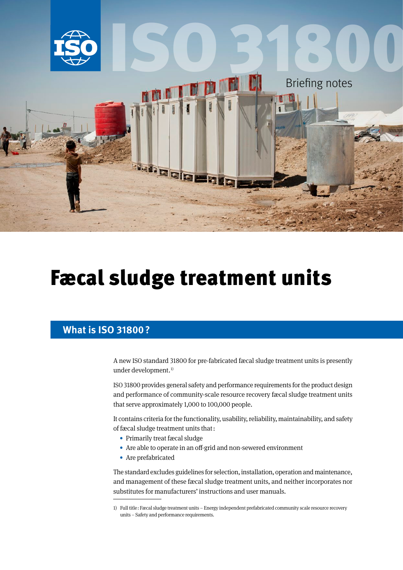

# [Fæcal sludge treatment units](https://www.iso.org/standard/75633.html)

## **What is ISO 31800?**

A new ISO standard 31800 for pre-fabricated fæcal sludge treatment units is presently under development.<sup>1)</sup>

ISO 31800 provides general safety and performance requirements for the product design and performance of community-scale resource recovery fæcal sludge treatment units that serve approximately 1,000 to 100,000 people.

It contains criteria for the functionality, usability, reliability, maintainability, and safety of fæcal sludge treatment units that:

- Primarily treat fæcal sludge
- Are able to operate in an off-grid and non-sewered environment
- Are prefabricated

The standard excludes guidelines for selection, installation, operation and maintenance, and management of these fæcal sludge treatment units, and neither incorporates nor substitutes for manufacturers' instructions and user manuals.

<sup>1)</sup> Full title: Fæcal sludge treatment units – Energy independent prefabricated community scale resource recovery units – Safety and performance requirements.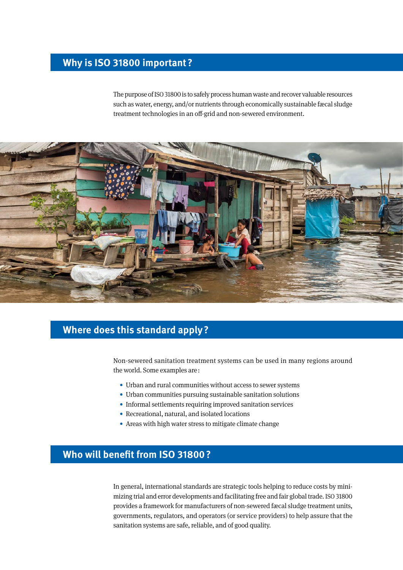## **Why is ISO 31800 important?**

The purpose of ISO 31800 is to safely process human waste and recover valuable resources such as water, energy, and/or nutrients through economically sustainable fæcal sludge treatment technologies in an off-grid and non-sewered environment.



### **Where does this standard apply?**

Non-sewered sanitation treatment systems can be used in many regions around the world. Some examples are:

- Urban and rural communities without access to sewer systems
- Urban communities pursuing sustainable sanitation solutions
- Informal settlements requiring improved sanitation services
- Recreational, natural, and isolated locations
- Areas with high water stress to mitigate climate change

## **Who will benefit from ISO 31800?**

In general, international standards are strategic tools helping to reduce costs by minimizing trial and error developments and facilitating free and fair global trade. ISO 31800 provides a framework for manufacturers of non-sewered fæcal sludge treatment units, governments, regulators, and operators (or service providers) to help assure that the sanitation systems are safe, reliable, and of good quality.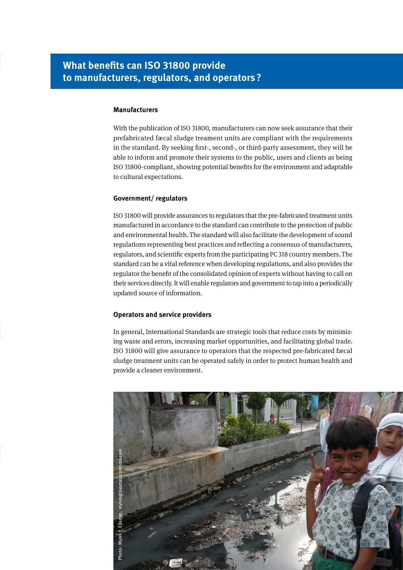## **What benefits can ISO 31800 provide to manufacturers, regulators, and operators?**

#### **Manufacturers**

With the publication of ISO 31800, manufacturers can now seek assurance that their prefabricated fæcal sludge treament units are compliant with the requirements in the standard. By seeking first-, second-, or third-party assessment, they will be able to inform and promote their systems to the public, users and clients as being ISO 31800-compliant, showing potential benefits for the environment and adaptable to cultural expectations.

#### **Government/ regulators**

ISO 31800 will provide assurances to regulators that the pre-fabricated treatment units manufactured in accordance to the standard can contribute to the protection of public and environmental health. The standard will also facilitate the development of sound regulations representing best practices and reflecting a consensus of manufacturers, regulators, and scientific experts from the participating PC 318 country members. The standard can be a vital reference when developing regulations, and also provides the regulator the benefit of the consolidated opinion of experts without having to call on their services directly. It will enable regulators and government to tap into a periodically updated source of information.

#### **Operators and service providers**

In general, International Standards are strategic tools that reduce costs by minimizing waste and errors, increasing market opportunities, and facilitating global trade. ISO 31800 will give assurance to operators that the respected pre-fabricated fæcal sludge treatment units can be operated safely in order to protect human health and provide a cleaner environment.